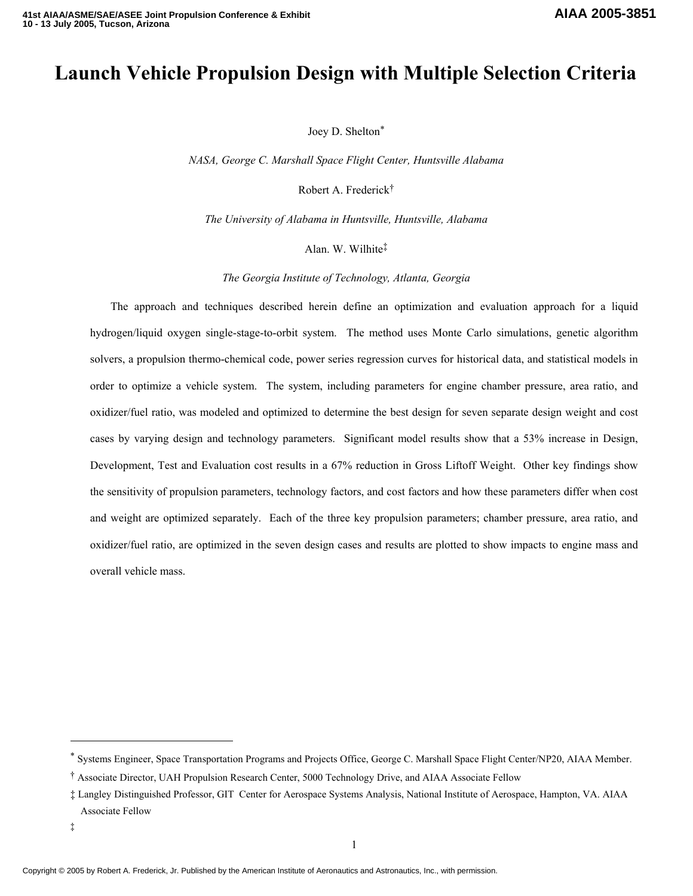# **Launch Vehicle Propulsion Design with Multiple Selection Criteria**

Joey D. Shelton\*

*NASA, George C. Marshall Space Flight Center, Huntsville Alabama* 

Robert A. Frederick†

*The University of Alabama in Huntsville, Huntsville, Alabama* 

Alan. W. Wilhite‡

*The Georgia Institute of Technology, Atlanta, Georgia*

The approach and techniques described herein define an optimization and evaluation approach for a liquid hydrogen/liquid oxygen single-stage-to-orbit system. The method uses Monte Carlo simulations, genetic algorithm solvers, a propulsion thermo-chemical code, power series regression curves for historical data, and statistical models in order to optimize a vehicle system. The system, including parameters for engine chamber pressure, area ratio, and oxidizer/fuel ratio, was modeled and optimized to determine the best design for seven separate design weight and cost cases by varying design and technology parameters. Significant model results show that a 53% increase in Design, Development, Test and Evaluation cost results in a 67% reduction in Gross Liftoff Weight. Other key findings show the sensitivity of propulsion parameters, technology factors, and cost factors and how these parameters differ when cost and weight are optimized separately. Each of the three key propulsion parameters; chamber pressure, area ratio, and oxidizer/fuel ratio, are optimized in the seven design cases and results are plotted to show impacts to engine mass and overall vehicle mass.

-

<sup>\*</sup> Systems Engineer, Space Transportation Programs and Projects Office, George C. Marshall Space Flight Center/NP20, AIAA Member.

<sup>†</sup> Associate Director, UAH Propulsion Research Center, 5000 Technology Drive, and AIAA Associate Fellow

<sup>‡</sup> Langley Distinguished Professor, GIT Center for Aerospace Systems Analysis, National Institute of Aerospace, Hampton, VA. AIAA Associate Fellow

<sup>‡</sup>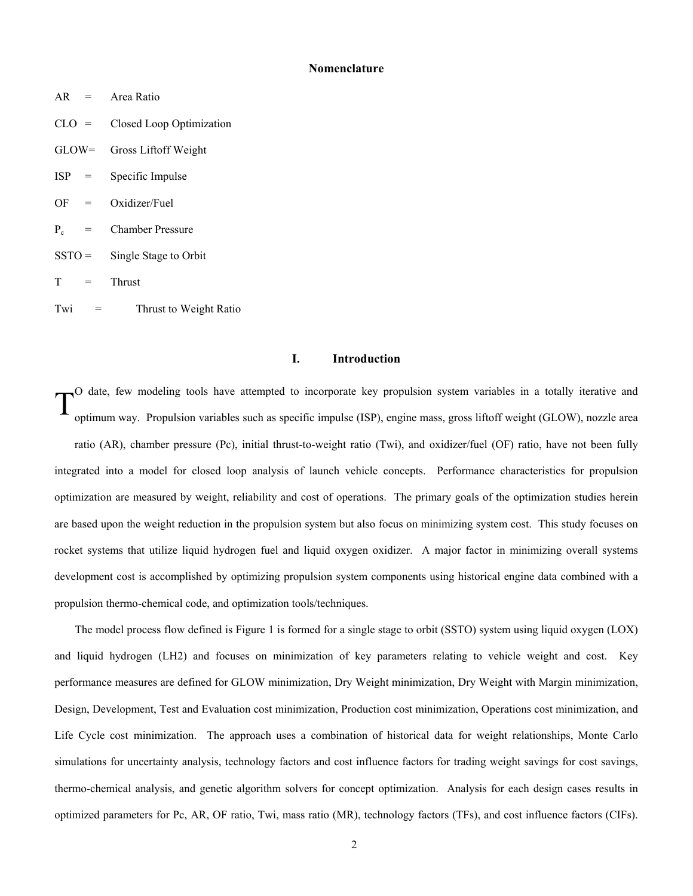## **Nomenclature**

| $AR =$     |     | Area Ratio               |
|------------|-----|--------------------------|
| $CLO =$    |     | Closed Loop Optimization |
| $GLOW=$    |     | Gross Liftoff Weight     |
| <b>ISP</b> | $=$ | Specific Impulse         |
| OF         | $=$ | Oxidizer/Fuel            |
| $P_c$      | $=$ | <b>Chamber Pressure</b>  |
| $SSTO =$   |     | Single Stage to Orbit    |
| T          | $=$ | <b>Thrust</b>            |
| Twi        |     | Thrust to Weight Ratio   |

#### **I. Introduction**

TO date, few modeling tools have attempted to incorporate key propulsion system variables in a totally iterative and optimum way. Propulsion variables such as specific impulse (ISP), engine mass, gross liftoff weight (GLOW optimum way. Propulsion variables such as specific impulse (ISP), engine mass, gross liftoff weight (GLOW), nozzle area ratio (AR), chamber pressure (Pc), initial thrust-to-weight ratio (Twi), and oxidizer/fuel (OF) ratio, have not been fully integrated into a model for closed loop analysis of launch vehicle concepts. Performance characteristics for propulsion optimization are measured by weight, reliability and cost of operations. The primary goals of the optimization studies herein are based upon the weight reduction in the propulsion system but also focus on minimizing system cost. This study focuses on rocket systems that utilize liquid hydrogen fuel and liquid oxygen oxidizer. A major factor in minimizing overall systems development cost is accomplished by optimizing propulsion system components using historical engine data combined with a propulsion thermo-chemical code, and optimization tools/techniques.

The model process flow defined is Figure 1 is formed for a single stage to orbit (SSTO) system using liquid oxygen (LOX) and liquid hydrogen (LH2) and focuses on minimization of key parameters relating to vehicle weight and cost. Key performance measures are defined for GLOW minimization, Dry Weight minimization, Dry Weight with Margin minimization, Design, Development, Test and Evaluation cost minimization, Production cost minimization, Operations cost minimization, and Life Cycle cost minimization. The approach uses a combination of historical data for weight relationships, Monte Carlo simulations for uncertainty analysis, technology factors and cost influence factors for trading weight savings for cost savings, thermo-chemical analysis, and genetic algorithm solvers for concept optimization. Analysis for each design cases results in optimized parameters for Pc, AR, OF ratio, Twi, mass ratio (MR), technology factors (TFs), and cost influence factors (CIFs).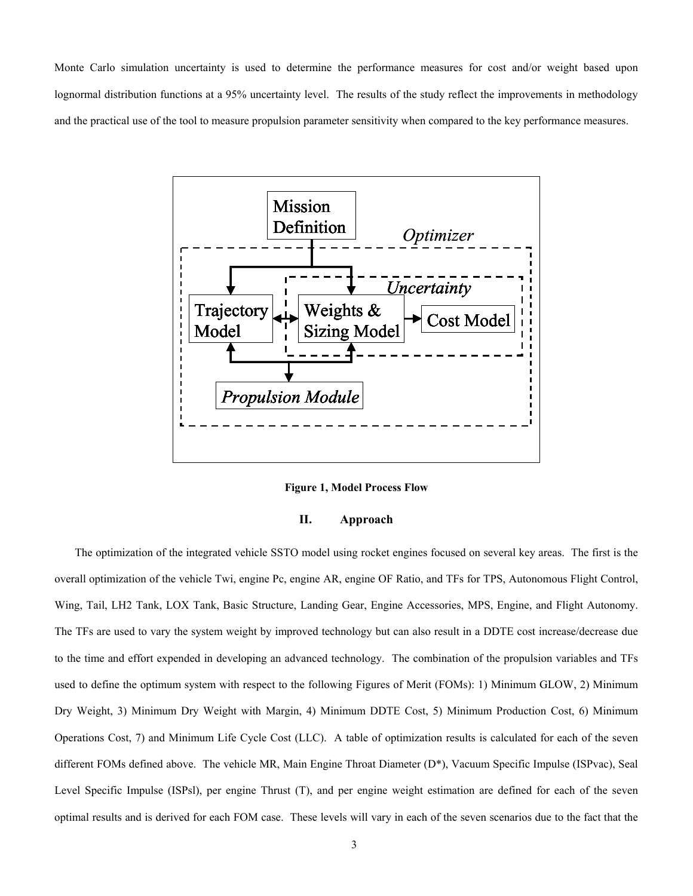Monte Carlo simulation uncertainty is used to determine the performance measures for cost and/or weight based upon lognormal distribution functions at a 95% uncertainty level. The results of the study reflect the improvements in methodology and the practical use of the tool to measure propulsion parameter sensitivity when compared to the key performance measures.



**Figure 1, Model Process Flow**

## **II. Approach**

The optimization of the integrated vehicle SSTO model using rocket engines focused on several key areas. The first is the overall optimization of the vehicle Twi, engine Pc, engine AR, engine OF Ratio, and TFs for TPS, Autonomous Flight Control, Wing, Tail, LH2 Tank, LOX Tank, Basic Structure, Landing Gear, Engine Accessories, MPS, Engine, and Flight Autonomy. The TFs are used to vary the system weight by improved technology but can also result in a DDTE cost increase/decrease due to the time and effort expended in developing an advanced technology. The combination of the propulsion variables and TFs used to define the optimum system with respect to the following Figures of Merit (FOMs): 1) Minimum GLOW, 2) Minimum Dry Weight, 3) Minimum Dry Weight with Margin, 4) Minimum DDTE Cost, 5) Minimum Production Cost, 6) Minimum Operations Cost, 7) and Minimum Life Cycle Cost (LLC). A table of optimization results is calculated for each of the seven different FOMs defined above. The vehicle MR, Main Engine Throat Diameter (D\*), Vacuum Specific Impulse (ISPvac), Seal Level Specific Impulse (ISPsl), per engine Thrust (T), and per engine weight estimation are defined for each of the seven optimal results and is derived for each FOM case. These levels will vary in each of the seven scenarios due to the fact that the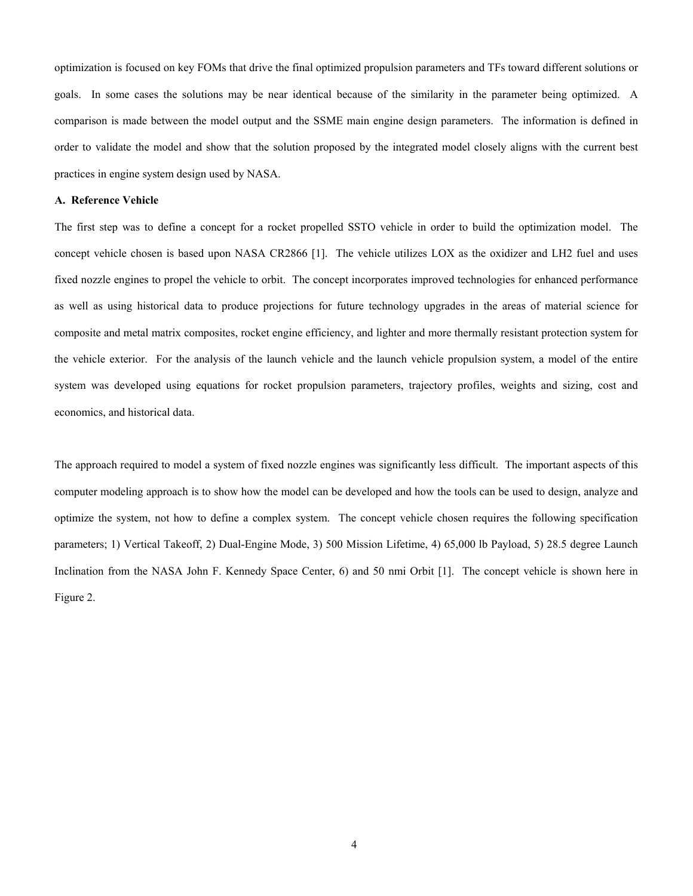optimization is focused on key FOMs that drive the final optimized propulsion parameters and TFs toward different solutions or goals. In some cases the solutions may be near identical because of the similarity in the parameter being optimized. A comparison is made between the model output and the SSME main engine design parameters. The information is defined in order to validate the model and show that the solution proposed by the integrated model closely aligns with the current best practices in engine system design used by NASA.

## **A. Reference Vehicle**

The first step was to define a concept for a rocket propelled SSTO vehicle in order to build the optimization model. The concept vehicle chosen is based upon NASA CR2866 [1]. The vehicle utilizes LOX as the oxidizer and LH2 fuel and uses fixed nozzle engines to propel the vehicle to orbit. The concept incorporates improved technologies for enhanced performance as well as using historical data to produce projections for future technology upgrades in the areas of material science for composite and metal matrix composites, rocket engine efficiency, and lighter and more thermally resistant protection system for the vehicle exterior. For the analysis of the launch vehicle and the launch vehicle propulsion system, a model of the entire system was developed using equations for rocket propulsion parameters, trajectory profiles, weights and sizing, cost and economics, and historical data.

The approach required to model a system of fixed nozzle engines was significantly less difficult. The important aspects of this computer modeling approach is to show how the model can be developed and how the tools can be used to design, analyze and optimize the system, not how to define a complex system. The concept vehicle chosen requires the following specification parameters; 1) Vertical Takeoff, 2) Dual-Engine Mode, 3) 500 Mission Lifetime, 4) 65,000 lb Payload, 5) 28.5 degree Launch Inclination from the NASA John F. Kennedy Space Center, 6) and 50 nmi Orbit [1]. The concept vehicle is shown here in Figure 2.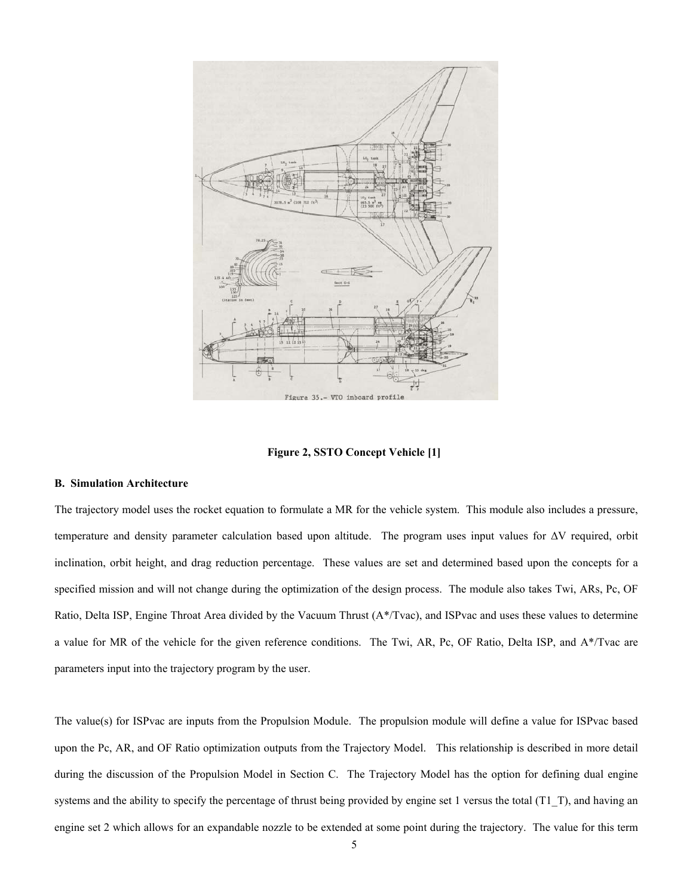

**Figure 2, SSTO Concept Vehicle [1]**

#### **B. Simulation Architecture**

The trajectory model uses the rocket equation to formulate a MR for the vehicle system. This module also includes a pressure, temperature and density parameter calculation based upon altitude. The program uses input values for ∆V required, orbit inclination, orbit height, and drag reduction percentage. These values are set and determined based upon the concepts for a specified mission and will not change during the optimization of the design process. The module also takes Twi, ARs, Pc, OF Ratio, Delta ISP, Engine Throat Area divided by the Vacuum Thrust (A\*/Tvac), and ISPvac and uses these values to determine a value for MR of the vehicle for the given reference conditions. The Twi, AR, Pc, OF Ratio, Delta ISP, and A\*/Tvac are parameters input into the trajectory program by the user.

The value(s) for ISPvac are inputs from the Propulsion Module. The propulsion module will define a value for ISPvac based upon the Pc, AR, and OF Ratio optimization outputs from the Trajectory Model. This relationship is described in more detail during the discussion of the Propulsion Model in Section C. The Trajectory Model has the option for defining dual engine systems and the ability to specify the percentage of thrust being provided by engine set 1 versus the total (T1\_T), and having an engine set 2 which allows for an expandable nozzle to be extended at some point during the trajectory. The value for this term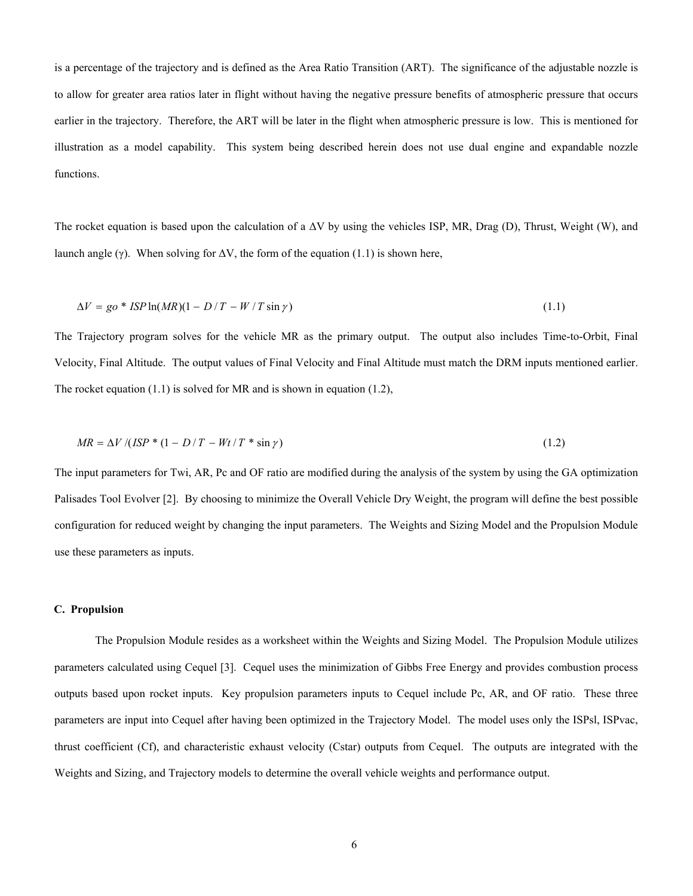is a percentage of the trajectory and is defined as the Area Ratio Transition (ART). The significance of the adjustable nozzle is to allow for greater area ratios later in flight without having the negative pressure benefits of atmospheric pressure that occurs earlier in the trajectory. Therefore, the ART will be later in the flight when atmospheric pressure is low. This is mentioned for illustration as a model capability. This system being described herein does not use dual engine and expandable nozzle functions.

The rocket equation is based upon the calculation of a ∆V by using the vehicles ISP, MR, Drag (D), Thrust, Weight (W), and launch angle (γ). When solving for  $\Delta V$ , the form of the equation (1.1) is shown here,

$$
\Delta V = g \sigma * ISP \ln(MR)(1 - D/T - W/T \sin \gamma)
$$
\n(1.1)

The Trajectory program solves for the vehicle MR as the primary output. The output also includes Time-to-Orbit, Final Velocity, Final Altitude. The output values of Final Velocity and Final Altitude must match the DRM inputs mentioned earlier. The rocket equation (1.1) is solved for MR and is shown in equation (1.2),

$$
MR = \Delta V / (ISP * (1 - D/T - Wt/T * \sin \gamma)) \tag{1.2}
$$

The input parameters for Twi, AR, Pc and OF ratio are modified during the analysis of the system by using the GA optimization Palisades Tool Evolver [2]. By choosing to minimize the Overall Vehicle Dry Weight, the program will define the best possible configuration for reduced weight by changing the input parameters. The Weights and Sizing Model and the Propulsion Module use these parameters as inputs.

## **C. Propulsion**

The Propulsion Module resides as a worksheet within the Weights and Sizing Model. The Propulsion Module utilizes parameters calculated using Cequel [3]. Cequel uses the minimization of Gibbs Free Energy and provides combustion process outputs based upon rocket inputs. Key propulsion parameters inputs to Cequel include Pc, AR, and OF ratio. These three parameters are input into Cequel after having been optimized in the Trajectory Model. The model uses only the ISPsl, ISPvac, thrust coefficient (Cf), and characteristic exhaust velocity (Cstar) outputs from Cequel. The outputs are integrated with the Weights and Sizing, and Trajectory models to determine the overall vehicle weights and performance output.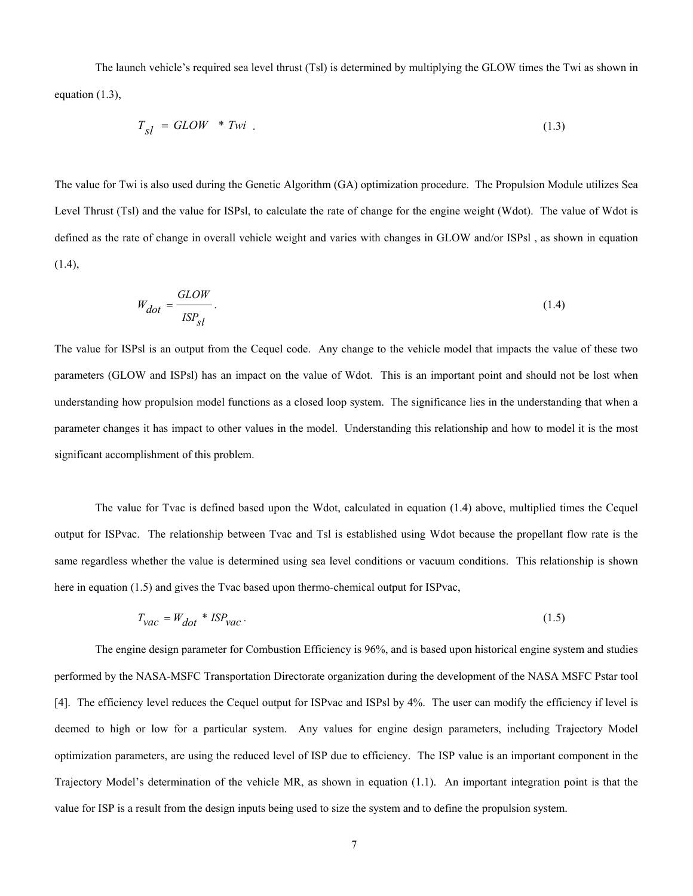The launch vehicle's required sea level thrust (Tsl) is determined by multiplying the GLOW times the Twi as shown in equation (1.3),

$$
T_{sl} = GLOW * Twi . \t\t(1.3)
$$

The value for Twi is also used during the Genetic Algorithm (GA) optimization procedure. The Propulsion Module utilizes Sea Level Thrust (Tsl) and the value for ISPsl, to calculate the rate of change for the engine weight (Wdot). The value of Wdot is defined as the rate of change in overall vehicle weight and varies with changes in GLOW and/or ISPsl , as shown in equation (1.4),

$$
W_{dot} = \frac{GLOW}{ISP_{sl}}.
$$
\n(1.4)

The value for ISPsl is an output from the Cequel code. Any change to the vehicle model that impacts the value of these two parameters (GLOW and ISPsl) has an impact on the value of Wdot. This is an important point and should not be lost when understanding how propulsion model functions as a closed loop system. The significance lies in the understanding that when a parameter changes it has impact to other values in the model. Understanding this relationship and how to model it is the most significant accomplishment of this problem.

The value for Tvac is defined based upon the Wdot, calculated in equation (1.4) above, multiplied times the Cequel output for ISPvac. The relationship between Tvac and Tsl is established using Wdot because the propellant flow rate is the same regardless whether the value is determined using sea level conditions or vacuum conditions. This relationship is shown here in equation (1.5) and gives the Tvac based upon thermo-chemical output for ISPvac,

$$
T_{vac} = W_{dot} \ast ISP_{vac} \tag{1.5}
$$

The engine design parameter for Combustion Efficiency is 96%, and is based upon historical engine system and studies performed by the NASA-MSFC Transportation Directorate organization during the development of the NASA MSFC Pstar tool [4]. The efficiency level reduces the Cequel output for ISPvac and ISPsl by 4%. The user can modify the efficiency if level is deemed to high or low for a particular system. Any values for engine design parameters, including Trajectory Model optimization parameters, are using the reduced level of ISP due to efficiency. The ISP value is an important component in the Trajectory Model's determination of the vehicle MR, as shown in equation (1.1). An important integration point is that the value for ISP is a result from the design inputs being used to size the system and to define the propulsion system.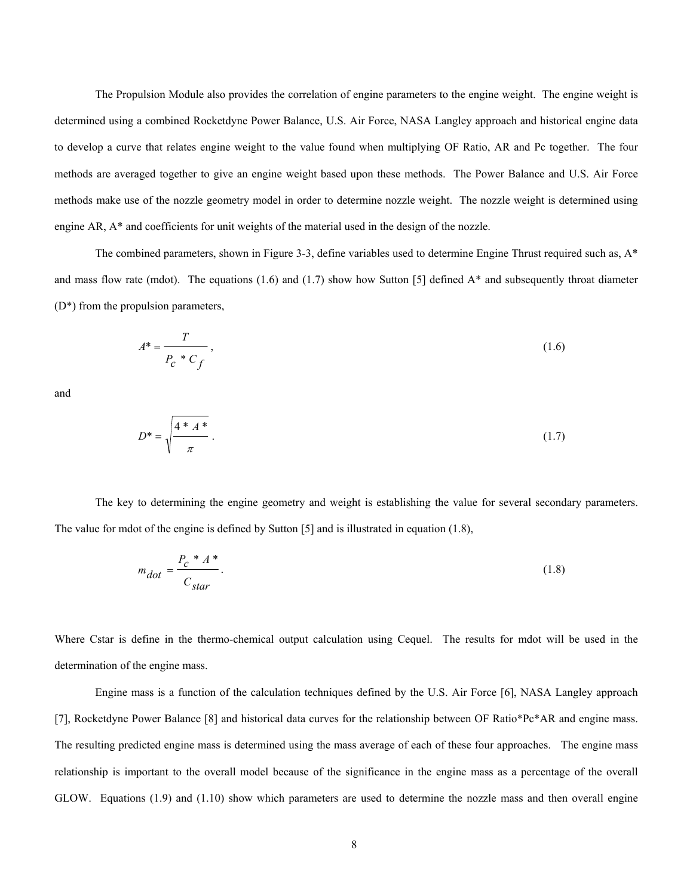The Propulsion Module also provides the correlation of engine parameters to the engine weight. The engine weight is determined using a combined Rocketdyne Power Balance, U.S. Air Force, NASA Langley approach and historical engine data to develop a curve that relates engine weight to the value found when multiplying OF Ratio, AR and Pc together. The four methods are averaged together to give an engine weight based upon these methods. The Power Balance and U.S. Air Force methods make use of the nozzle geometry model in order to determine nozzle weight. The nozzle weight is determined using engine AR, A\* and coefficients for unit weights of the material used in the design of the nozzle.

The combined parameters, shown in Figure 3-3, define variables used to determine Engine Thrust required such as, A\* and mass flow rate (mdot). The equations  $(1.6)$  and  $(1.7)$  show how Sutton [5] defined A\* and subsequently throat diameter (D\*) from the propulsion parameters,

$$
A^* = \frac{T}{P_c * C_f},\tag{1.6}
$$

and

$$
D^* = \sqrt{\frac{4 * A^*}{\pi}} \ . \tag{1.7}
$$

The key to determining the engine geometry and weight is establishing the value for several secondary parameters. The value for mdot of the engine is defined by Sutton [5] and is illustrated in equation (1.8),

$$
m_{dot} = \frac{P_c * A *}{C_{star}}.
$$
\n(1.8)

Where Cstar is define in the thermo-chemical output calculation using Cequel. The results for mdot will be used in the determination of the engine mass.

Engine mass is a function of the calculation techniques defined by the U.S. Air Force [6], NASA Langley approach [7], Rocketdyne Power Balance [8] and historical data curves for the relationship between OF Ratio\*Pc\*AR and engine mass. The resulting predicted engine mass is determined using the mass average of each of these four approaches. The engine mass relationship is important to the overall model because of the significance in the engine mass as a percentage of the overall GLOW. Equations (1.9) and (1.10) show which parameters are used to determine the nozzle mass and then overall engine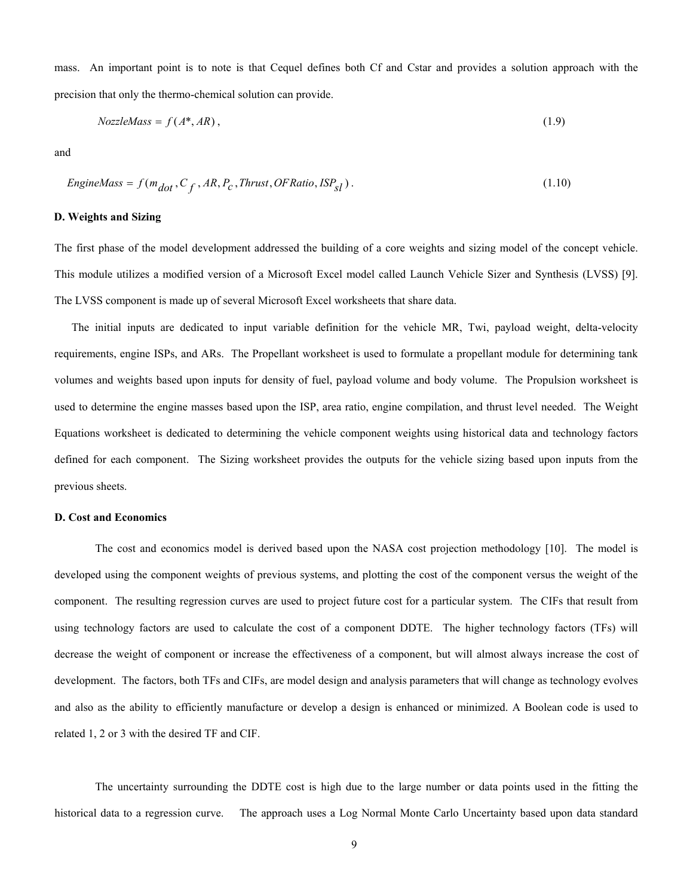mass. An important point is to note is that Cequel defines both Cf and Cstar and provides a solution approach with the precision that only the thermo-chemical solution can provide.

$$
NozzleMass = f(A^*, AR), \tag{1.9}
$$

and

$$
EngineeringMass = f(m_{dot}, C_f, AR, P_c, Thrust, OF Ratio, ISP_{sl})
$$
\n(1.10)

## **D. Weights and Sizing**

The first phase of the model development addressed the building of a core weights and sizing model of the concept vehicle. This module utilizes a modified version of a Microsoft Excel model called Launch Vehicle Sizer and Synthesis (LVSS) [9]. The LVSS component is made up of several Microsoft Excel worksheets that share data.

 The initial inputs are dedicated to input variable definition for the vehicle MR, Twi, payload weight, delta-velocity requirements, engine ISPs, and ARs. The Propellant worksheet is used to formulate a propellant module for determining tank volumes and weights based upon inputs for density of fuel, payload volume and body volume. The Propulsion worksheet is used to determine the engine masses based upon the ISP, area ratio, engine compilation, and thrust level needed. The Weight Equations worksheet is dedicated to determining the vehicle component weights using historical data and technology factors defined for each component. The Sizing worksheet provides the outputs for the vehicle sizing based upon inputs from the previous sheets.

#### **D. Cost and Economics**

The cost and economics model is derived based upon the NASA cost projection methodology [10]. The model is developed using the component weights of previous systems, and plotting the cost of the component versus the weight of the component. The resulting regression curves are used to project future cost for a particular system. The CIFs that result from using technology factors are used to calculate the cost of a component DDTE. The higher technology factors (TFs) will decrease the weight of component or increase the effectiveness of a component, but will almost always increase the cost of development. The factors, both TFs and CIFs, are model design and analysis parameters that will change as technology evolves and also as the ability to efficiently manufacture or develop a design is enhanced or minimized. A Boolean code is used to related 1, 2 or 3 with the desired TF and CIF.

The uncertainty surrounding the DDTE cost is high due to the large number or data points used in the fitting the historical data to a regression curve. The approach uses a Log Normal Monte Carlo Uncertainty based upon data standard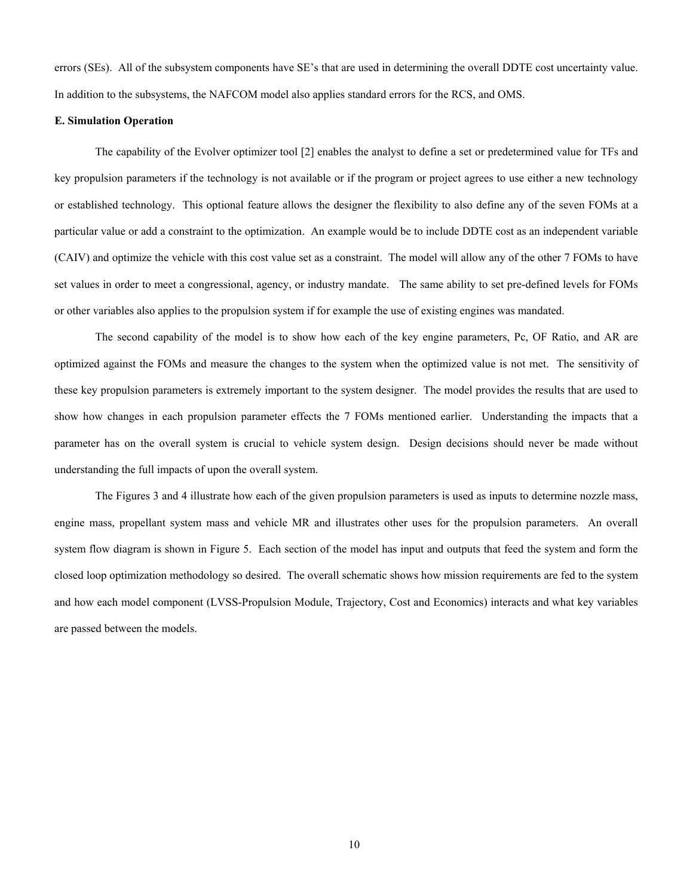errors (SEs). All of the subsystem components have SE's that are used in determining the overall DDTE cost uncertainty value. In addition to the subsystems, the NAFCOM model also applies standard errors for the RCS, and OMS.

## **E. Simulation Operation**

The capability of the Evolver optimizer tool [2] enables the analyst to define a set or predetermined value for TFs and key propulsion parameters if the technology is not available or if the program or project agrees to use either a new technology or established technology. This optional feature allows the designer the flexibility to also define any of the seven FOMs at a particular value or add a constraint to the optimization. An example would be to include DDTE cost as an independent variable (CAIV) and optimize the vehicle with this cost value set as a constraint. The model will allow any of the other 7 FOMs to have set values in order to meet a congressional, agency, or industry mandate. The same ability to set pre-defined levels for FOMs or other variables also applies to the propulsion system if for example the use of existing engines was mandated.

The second capability of the model is to show how each of the key engine parameters, Pc, OF Ratio, and AR are optimized against the FOMs and measure the changes to the system when the optimized value is not met. The sensitivity of these key propulsion parameters is extremely important to the system designer. The model provides the results that are used to show how changes in each propulsion parameter effects the 7 FOMs mentioned earlier. Understanding the impacts that a parameter has on the overall system is crucial to vehicle system design. Design decisions should never be made without understanding the full impacts of upon the overall system.

The Figures 3 and 4 illustrate how each of the given propulsion parameters is used as inputs to determine nozzle mass, engine mass, propellant system mass and vehicle MR and illustrates other uses for the propulsion parameters. An overall system flow diagram is shown in Figure 5. Each section of the model has input and outputs that feed the system and form the closed loop optimization methodology so desired. The overall schematic shows how mission requirements are fed to the system and how each model component (LVSS-Propulsion Module, Trajectory, Cost and Economics) interacts and what key variables are passed between the models.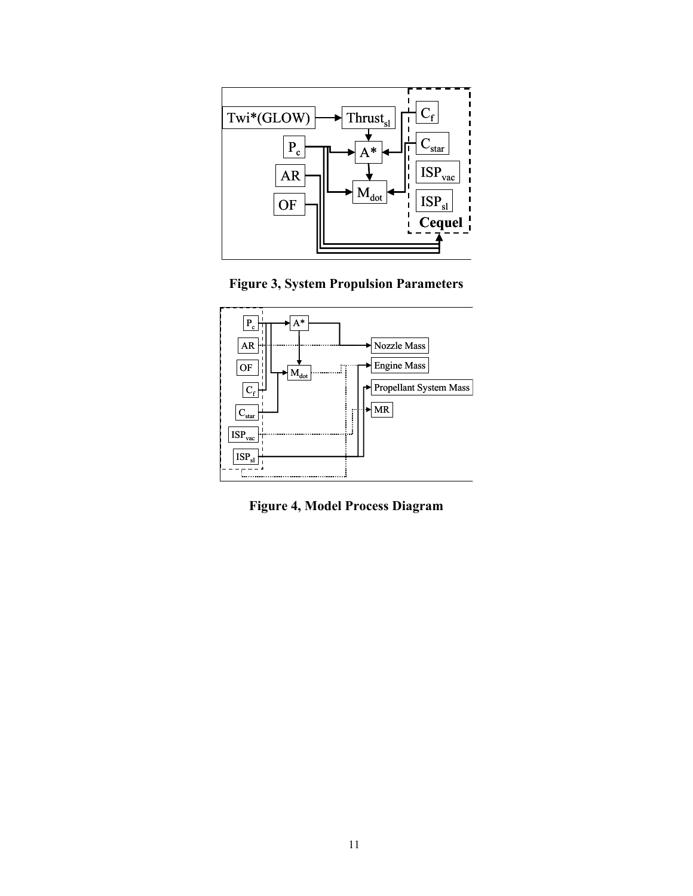

**Figure 3, System Propulsion Parameters**



**Figure 4, Model Process Diagram**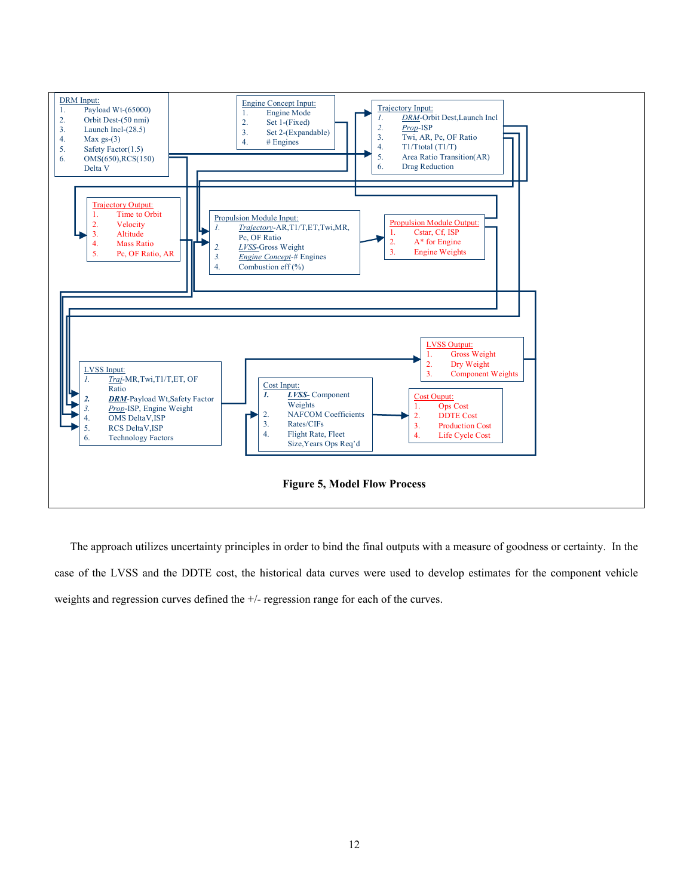

The approach utilizes uncertainty principles in order to bind the final outputs with a measure of goodness or certainty. In the case of the LVSS and the DDTE cost, the historical data curves were used to develop estimates for the component vehicle weights and regression curves defined the +/- regression range for each of the curves.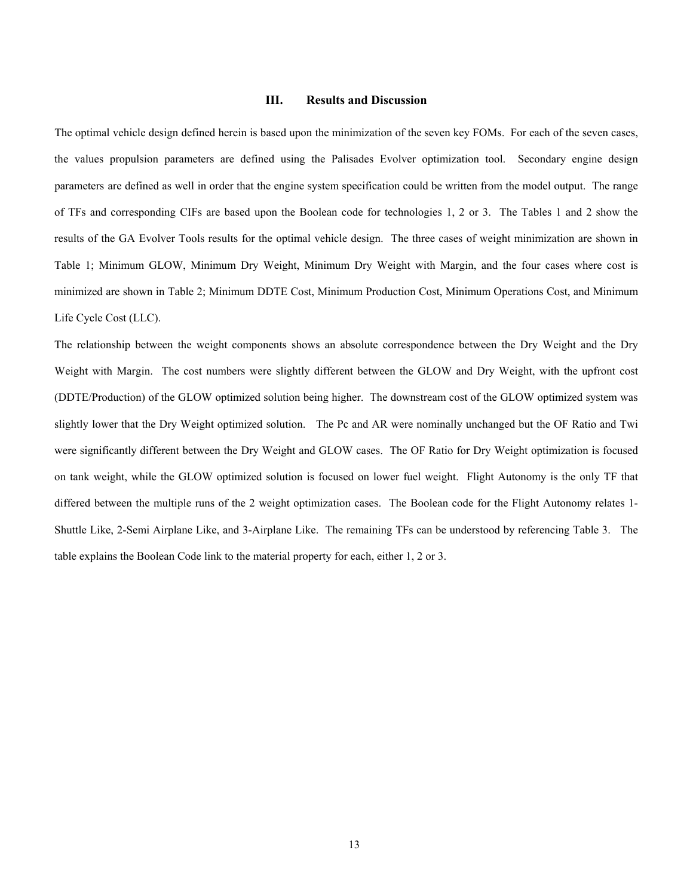# **III. Results and Discussion**

The optimal vehicle design defined herein is based upon the minimization of the seven key FOMs. For each of the seven cases, the values propulsion parameters are defined using the Palisades Evolver optimization tool. Secondary engine design parameters are defined as well in order that the engine system specification could be written from the model output. The range of TFs and corresponding CIFs are based upon the Boolean code for technologies 1, 2 or 3. The Tables 1 and 2 show the results of the GA Evolver Tools results for the optimal vehicle design. The three cases of weight minimization are shown in Table 1; Minimum GLOW, Minimum Dry Weight, Minimum Dry Weight with Margin, and the four cases where cost is minimized are shown in Table 2; Minimum DDTE Cost, Minimum Production Cost, Minimum Operations Cost, and Minimum Life Cycle Cost (LLC).

The relationship between the weight components shows an absolute correspondence between the Dry Weight and the Dry Weight with Margin. The cost numbers were slightly different between the GLOW and Dry Weight, with the upfront cost (DDTE/Production) of the GLOW optimized solution being higher. The downstream cost of the GLOW optimized system was slightly lower that the Dry Weight optimized solution. The Pc and AR were nominally unchanged but the OF Ratio and Twi were significantly different between the Dry Weight and GLOW cases. The OF Ratio for Dry Weight optimization is focused on tank weight, while the GLOW optimized solution is focused on lower fuel weight. Flight Autonomy is the only TF that differed between the multiple runs of the 2 weight optimization cases. The Boolean code for the Flight Autonomy relates 1- Shuttle Like, 2-Semi Airplane Like, and 3-Airplane Like. The remaining TFs can be understood by referencing Table 3. The table explains the Boolean Code link to the material property for each, either 1, 2 or 3.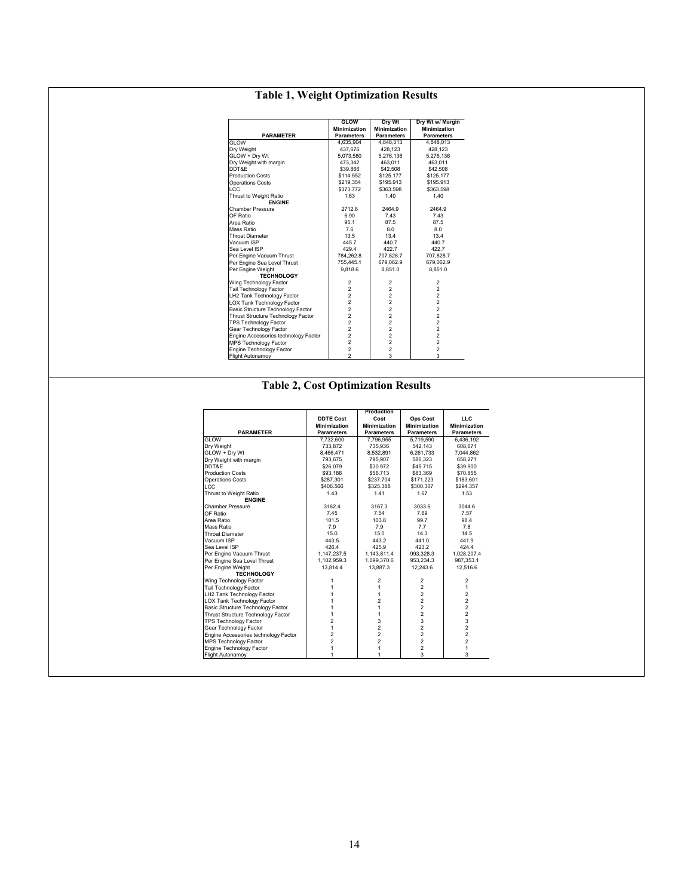| <b>PARAMETER</b>                                                                                 | <b>GLOW</b><br>Minimization<br>Parameters             | Dry Wt<br>Minimization<br>Parameters      | Minimization<br>Parameters                    | Dry Wt w/ Margin                         |
|--------------------------------------------------------------------------------------------------|-------------------------------------------------------|-------------------------------------------|-----------------------------------------------|------------------------------------------|
| <b>GLOW</b>                                                                                      | 4,635,904                                             | 4,848,013                                 | 4,848,013                                     |                                          |
| Dry Weight                                                                                       | 437,676                                               | 428.123                                   | 428.123                                       |                                          |
| GLOW + Dry Wt                                                                                    | 5,073,580                                             | 5,276,136                                 | 5,276,136                                     |                                          |
| Dry Weight with margin                                                                           | 473.342                                               | 463.011                                   | 463.011                                       |                                          |
| DDT&E                                                                                            | \$39.866                                              | \$42.508                                  | \$42.508                                      |                                          |
| <b>Production Costs</b>                                                                          | \$114.552                                             | \$125.177                                 | \$125.177                                     |                                          |
| <b>Operations Costs</b>                                                                          | \$219.354                                             | \$195.913                                 | \$195.913                                     |                                          |
| cc                                                                                               | \$373.772                                             | \$363.598                                 | \$363.598                                     |                                          |
| Thrust to Weight Ratio                                                                           | 1.63                                                  | 1.40                                      | 1.40                                          |                                          |
| <b>ENGINE</b>                                                                                    |                                                       |                                           |                                               |                                          |
| Chamber Pressure                                                                                 | 2712.8                                                | 2464.9                                    | 2464.9                                        |                                          |
| OF Ratio<br>Area Ratio                                                                           | 6.90<br>95.1                                          | 7.43<br>87.5                              | 7.43<br>87.5                                  |                                          |
|                                                                                                  |                                                       |                                           |                                               |                                          |
| Mass Ratio<br><b>Throat Diameter</b>                                                             | 7.6<br>13.5                                           | 8.0<br>13.4                               | 8.0<br>13.4                                   |                                          |
|                                                                                                  | 445.7                                                 | 440.7                                     | 440.7                                         |                                          |
| Vacuum ISP<br>Sea Level ISP                                                                      | 429.4                                                 | 422.7                                     | 422.7                                         |                                          |
| Per Engine Vacuum Thrust                                                                         | 784,262.8                                             | 707,828.7                                 | 707,828.7                                     |                                          |
| Per Engine Sea Level Thrust                                                                      | 755,445.1                                             | 679,062.9                                 | 679,062.9                                     |                                          |
|                                                                                                  | 9,818.6                                               | 8,851.0                                   | 8,851.0                                       |                                          |
| Per Engine Weight                                                                                |                                                       |                                           |                                               |                                          |
| <b>TECHNOLOGY</b>                                                                                |                                                       | $\overline{2}$                            |                                               |                                          |
| Wing Technology Factor                                                                           | $\sqrt{2}$                                            |                                           | $\overline{2}$<br>$\sqrt{2}$                  |                                          |
| Tail Technology Factor<br>LH2 Tank Technology Factor                                             | $\overline{2}$<br>$\mathbf 2$                         | $\overline{c}$<br>$\overline{2}$          | $\overline{2}$                                |                                          |
|                                                                                                  | $\mathbf 2$                                           | $\sqrt{2}$                                | $\mathbf 2$                                   |                                          |
| LOX Tank Technology Factor<br>Basic Structure Technology Factor                                  | $\overline{2}$                                        | $\overline{2}$                            | $\overline{2}$                                |                                          |
|                                                                                                  | $\mathbf 2$                                           | $\overline{2}$                            | $\sqrt{2}$                                    |                                          |
| Thrust Structure Technology Factor<br>TPS Technology Factor                                      | $\overline{2}$                                        | $\overline{2}$                            | $\overline{2}$                                |                                          |
| Gear Technology Factor                                                                           | $\boldsymbol{2}$                                      | $\boldsymbol{2}$                          | $\sqrt{2}$                                    |                                          |
| Engine Accessories technology Factor                                                             | $\sqrt{2}$                                            | $\overline{c}$                            | $\boldsymbol{2}$                              |                                          |
| MPS Technology Factor                                                                            | $\overline{2}$                                        | $\overline{2}$                            | $\overline{2}$                                |                                          |
|                                                                                                  | $\overline{\mathbf{c}}$                               | $\overline{2}$                            | $\overline{\mathbf{c}}$                       |                                          |
|                                                                                                  | 2                                                     | 3                                         | 3                                             |                                          |
| Engine Technology Factor<br><b>Flight Autonamoy</b><br><b>Table 2, Cost Optimization Results</b> |                                                       |                                           |                                               |                                          |
|                                                                                                  |                                                       | Production                                |                                               |                                          |
| <b>PARAMETER</b>                                                                                 | <b>DDTE Cost</b><br>Minimization<br><b>Parameters</b> | Cost<br>Minimization<br><b>Parameters</b> | Ops Cost<br>Minimization<br><b>Parameters</b> | LLC<br>Minimization<br><b>Parameters</b> |
| GLOW                                                                                             | 7,732,600                                             | 7,796,955                                 | 5,719,590                                     | 6,436,192                                |
| Dry Weight                                                                                       | 733,872                                               | 735,936                                   | 542,143                                       | 608,671                                  |
| GLOW + Dry Wt                                                                                    | 8,466,471                                             | 8,532,891                                 | 6,261,733                                     | 7,044,862                                |
| Dry Weight with margin                                                                           | 793,675                                               | 795,907                                   | 586,323                                       | 658,271                                  |
| DDT&E                                                                                            | \$26.079                                              | \$30.972                                  | \$45.715                                      | \$39.900                                 |
| <b>Production Costs</b>                                                                          | \$93.186                                              | \$56.713                                  | \$83.369                                      | \$70.855                                 |
| <b>Operations Costs</b>                                                                          | \$287.301                                             | \$237.704                                 | \$171.223                                     | \$183.601                                |
| $_{\rm LCC}$                                                                                     | \$406.566                                             | \$325.388                                 | \$300.307                                     | \$294.357                                |
| Thrust to Weight Ratio                                                                           | 1.43                                                  | 1.41                                      | 1.67                                          | 1.53                                     |
| <b>ENGINE</b>                                                                                    |                                                       |                                           |                                               |                                          |
| Chamber Pressure                                                                                 | 3162.4                                                | 3167.3                                    | 3033.6                                        | 3044.6                                   |
| OF Ratio                                                                                         | 7.45                                                  | 7.54                                      | 7.69                                          | 7.57                                     |
| Area Ratio                                                                                       | 101.5                                                 | 103.8                                     | 99.7                                          | 98.4                                     |
| Mass Ratio                                                                                       | 7.9                                                   | 7.9                                       | 7.7                                           | 7.8                                      |
| <b>Throat Diameter</b>                                                                           | 15.0                                                  | 15.0                                      | 14.3                                          | 14.5                                     |
| Vacuum ISP                                                                                       | 443.5                                                 | 443.2                                     | 441.0                                         | 441.9                                    |
| Sea Level ISP                                                                                    | 426.4                                                 | 425.9                                     | 423.2                                         | 424.4                                    |
| Per Engine Vacuum Thrust                                                                         | 1,147,237.5                                           | 1,143,811.4                               | 993,328.3                                     | 1,028,207.4                              |
| Per Engine Sea Level Thrust                                                                      | 1,102,959.3                                           | 1,099,370.6                               | 953,234.3                                     | 987,353.1                                |
| Per Engine Weight                                                                                | 13,814.4                                              | 13,887.3                                  | 12,243.6                                      | 12,516.6                                 |
| <b>TECHNOLOGY</b>                                                                                |                                                       |                                           |                                               |                                          |
| Wing Technology Factor                                                                           | 1                                                     | $\sqrt{2}$                                | $\sqrt{2}$                                    | $\sqrt{2}$                               |
| Tail Technology Factor                                                                           | 1<br>$\mathbf{1}$                                     | $\mathbf{1}$<br>$\overline{1}$            | $\overline{2}$                                | $\mathbf{1}$                             |
| LH2 Tank Technology Factor                                                                       |                                                       |                                           | $\overline{2}$                                | $\overline{2}$                           |
| LOX Tank Technology Factor                                                                       | $\overline{1}$                                        | $\sqrt{2}$                                | $\sqrt{2}$                                    | $\mathbf 2$                              |
| Basic Structure Technology Factor                                                                | $\mathbf{1}$                                          | $\overline{1}$                            | $\overline{2}$                                | $\sqrt{2}$                               |
| Thrust Structure Technology Factor                                                               | $\mathbf{1}$                                          | $\overline{1}$                            | $\sqrt{2}$                                    | $\sqrt{2}$                               |
| TPS Technology Factor                                                                            | $\overline{c}$                                        | 3                                         | 3                                             | $\ensuremath{\mathsf{3}}$                |
| Gear Technology Factor                                                                           | $\mathbf{1}$                                          | $\overline{2}$                            | $\overline{2}$                                | $\overline{2}$                           |
| Engine Accessories technology Factor                                                             | $\overline{\mathbf{c}}$                               | $\overline{2}$                            | $\sqrt{2}$                                    | $\sqrt{2}$                               |
| <b>MPS Technology Factor</b>                                                                     | $\mathbf 2$<br>$\overline{1}$                         | $\overline{2}$<br>$\overline{1}$          | $\overline{2}$<br>$\overline{2}$              | $\sqrt{2}$<br>$\mathbf{1}$               |
| Engine Technology Factor<br>Iight Autonamoy                                                      | 1                                                     | $\overline{1}$                            | 3                                             | 3                                        |

# **Table 1, Weight Optimization Results**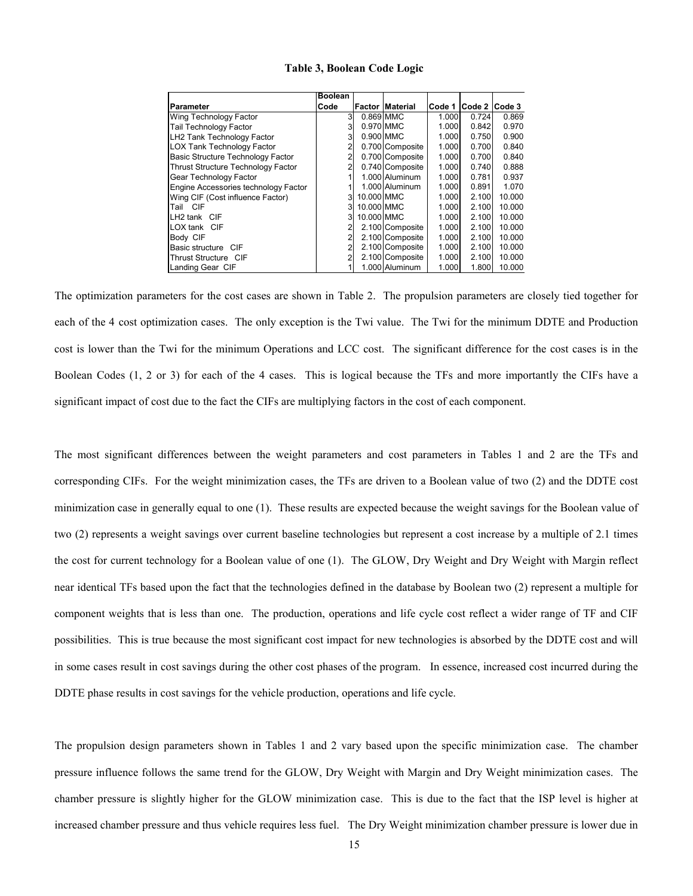## **Table 3, Boolean Code Logic**

|                                           | <b>Boolean</b> |            |                        |        |               |        |
|-------------------------------------------|----------------|------------|------------------------|--------|---------------|--------|
| Parameter                                 | Code           |            | <b>Factor Material</b> | Code 1 | Code 2 Code 3 |        |
| Wing Technology Factor                    | 3              | 0.869 MMC  |                        | 1.000  | 0.724         | 0.869  |
| <b>Tail Technology Factor</b>             | 3              | 0.970 MMC  |                        | 1.000  | 0.842         | 0.970  |
| LH2 Tank Technology Factor                | 3              | 0.900 MMC  |                        | 1.000  | 0.750         | 0.900  |
| <b>LOX Tank Technology Factor</b>         | 2              |            | 0.700 Composite        | 1.000  | 0.700         | 0.840  |
| Basic Structure Technology Factor         | $\overline{2}$ |            | 0.700 Composite        | 1.000  | 0.700         | 0.840  |
| <b>Thrust Structure Technology Factor</b> | 2              |            | 0.740 Composite        | 1.000  | 0.740         | 0.888  |
| Gear Technology Factor                    |                |            | 1.000 Aluminum         | 1.000  | 0.781         | 0.937  |
| Engine Accessories technology Factor      |                |            | 1.000 Aluminum         | 1.000  | 0.891         | 1.070  |
| Wing CIF (Cost influence Factor)          | 3              | 10.000 MMC |                        | 1.000  | 2.100         | 10.000 |
| Tail CIF                                  | 3              | 10.000 MMC |                        | 1.000  | 2.100         | 10.000 |
| LH <sub>2</sub> tank CIF                  | 3              | 10.000 MMC |                        | 1.000  | 2.100         | 10.000 |
| LOX tank CIF                              | 2              |            | 2.100 Composite        | 1.000  | 2.100         | 10.000 |
| Body CIF                                  | $\overline{2}$ |            | 2.100 Composite        | 1.000  | 2.100         | 10.000 |
| Basic structure CIF                       | $\overline{2}$ |            | 2.100 Composite        | 1.000  | 2.100         | 10.000 |
| Thrust Structure CIF                      | $\overline{a}$ |            | 2.100 Composite        | 1.000  | 2.100         | 10.000 |
| Landing Gear CIF                          |                |            | 1.000 Aluminum         | 1.000  | 1.800         | 10.000 |

The optimization parameters for the cost cases are shown in Table 2. The propulsion parameters are closely tied together for each of the 4 cost optimization cases. The only exception is the Twi value. The Twi for the minimum DDTE and Production cost is lower than the Twi for the minimum Operations and LCC cost. The significant difference for the cost cases is in the Boolean Codes (1, 2 or 3) for each of the 4 cases. This is logical because the TFs and more importantly the CIFs have a significant impact of cost due to the fact the CIFs are multiplying factors in the cost of each component.

The most significant differences between the weight parameters and cost parameters in Tables 1 and 2 are the TFs and corresponding CIFs. For the weight minimization cases, the TFs are driven to a Boolean value of two (2) and the DDTE cost minimization case in generally equal to one (1). These results are expected because the weight savings for the Boolean value of two (2) represents a weight savings over current baseline technologies but represent a cost increase by a multiple of 2.1 times the cost for current technology for a Boolean value of one (1). The GLOW, Dry Weight and Dry Weight with Margin reflect near identical TFs based upon the fact that the technologies defined in the database by Boolean two (2) represent a multiple for component weights that is less than one. The production, operations and life cycle cost reflect a wider range of TF and CIF possibilities. This is true because the most significant cost impact for new technologies is absorbed by the DDTE cost and will in some cases result in cost savings during the other cost phases of the program. In essence, increased cost incurred during the DDTE phase results in cost savings for the vehicle production, operations and life cycle.

The propulsion design parameters shown in Tables 1 and 2 vary based upon the specific minimization case. The chamber pressure influence follows the same trend for the GLOW, Dry Weight with Margin and Dry Weight minimization cases. The chamber pressure is slightly higher for the GLOW minimization case. This is due to the fact that the ISP level is higher at increased chamber pressure and thus vehicle requires less fuel. The Dry Weight minimization chamber pressure is lower due in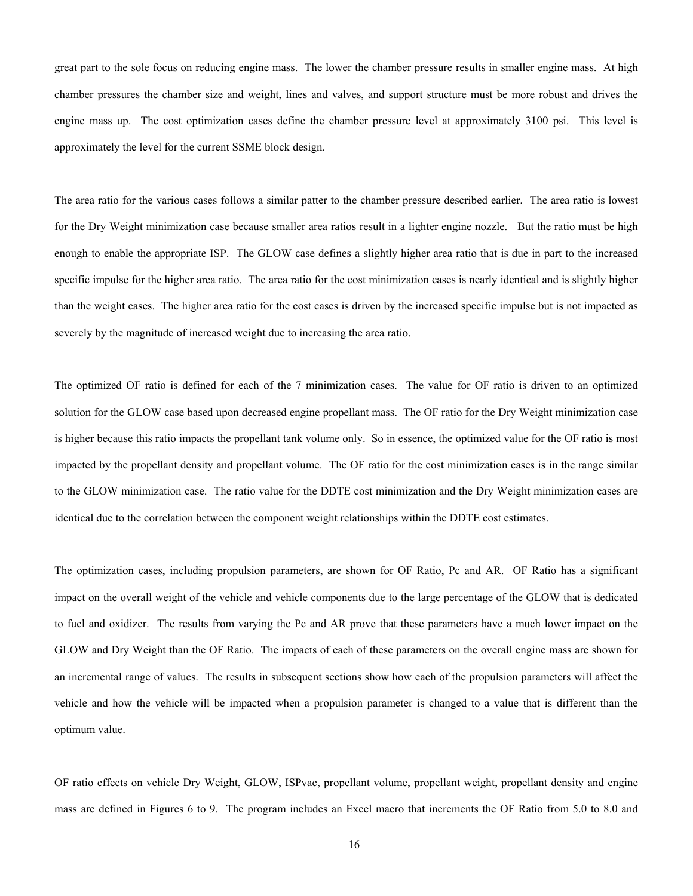great part to the sole focus on reducing engine mass. The lower the chamber pressure results in smaller engine mass. At high chamber pressures the chamber size and weight, lines and valves, and support structure must be more robust and drives the engine mass up. The cost optimization cases define the chamber pressure level at approximately 3100 psi. This level is approximately the level for the current SSME block design.

The area ratio for the various cases follows a similar patter to the chamber pressure described earlier. The area ratio is lowest for the Dry Weight minimization case because smaller area ratios result in a lighter engine nozzle. But the ratio must be high enough to enable the appropriate ISP. The GLOW case defines a slightly higher area ratio that is due in part to the increased specific impulse for the higher area ratio. The area ratio for the cost minimization cases is nearly identical and is slightly higher than the weight cases. The higher area ratio for the cost cases is driven by the increased specific impulse but is not impacted as severely by the magnitude of increased weight due to increasing the area ratio.

The optimized OF ratio is defined for each of the 7 minimization cases. The value for OF ratio is driven to an optimized solution for the GLOW case based upon decreased engine propellant mass. The OF ratio for the Dry Weight minimization case is higher because this ratio impacts the propellant tank volume only. So in essence, the optimized value for the OF ratio is most impacted by the propellant density and propellant volume. The OF ratio for the cost minimization cases is in the range similar to the GLOW minimization case. The ratio value for the DDTE cost minimization and the Dry Weight minimization cases are identical due to the correlation between the component weight relationships within the DDTE cost estimates.

The optimization cases, including propulsion parameters, are shown for OF Ratio, Pc and AR. OF Ratio has a significant impact on the overall weight of the vehicle and vehicle components due to the large percentage of the GLOW that is dedicated to fuel and oxidizer. The results from varying the Pc and AR prove that these parameters have a much lower impact on the GLOW and Dry Weight than the OF Ratio. The impacts of each of these parameters on the overall engine mass are shown for an incremental range of values. The results in subsequent sections show how each of the propulsion parameters will affect the vehicle and how the vehicle will be impacted when a propulsion parameter is changed to a value that is different than the optimum value.

OF ratio effects on vehicle Dry Weight, GLOW, ISPvac, propellant volume, propellant weight, propellant density and engine mass are defined in Figures 6 to 9. The program includes an Excel macro that increments the OF Ratio from 5.0 to 8.0 and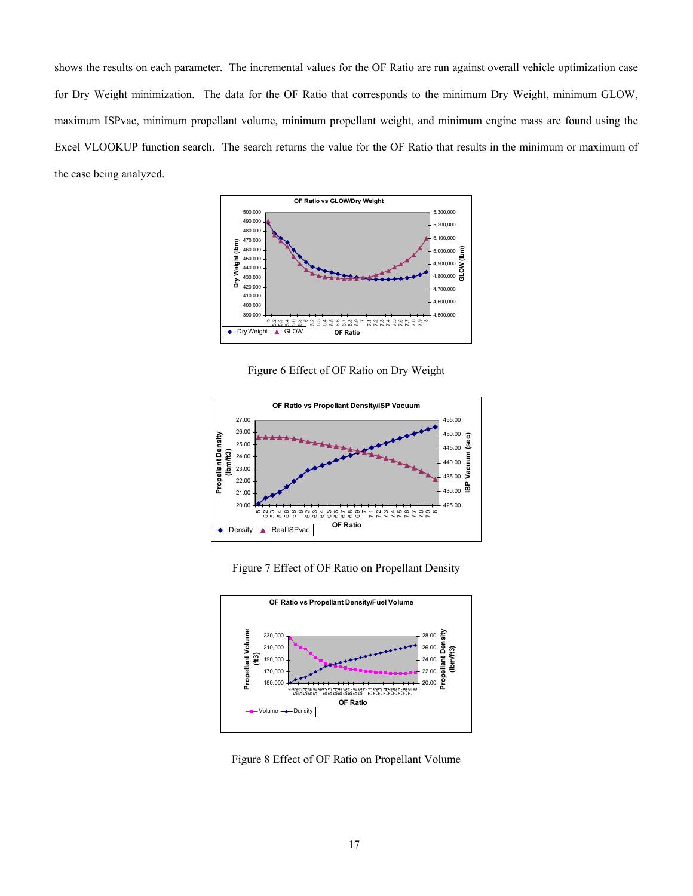shows the results on each parameter. The incremental values for the OF Ratio are run against overall vehicle optimization case for Dry Weight minimization. The data for the OF Ratio that corresponds to the minimum Dry Weight, minimum GLOW, maximum ISPvac, minimum propellant volume, minimum propellant weight, and minimum engine mass are found using the Excel VLOOKUP function search. The search returns the value for the OF Ratio that results in the minimum or maximum of the case being analyzed.



Figure 6 Effect of OF Ratio on Dry Weight



Figure 7 Effect of OF Ratio on Propellant Density



Figure 8 Effect of OF Ratio on Propellant Volume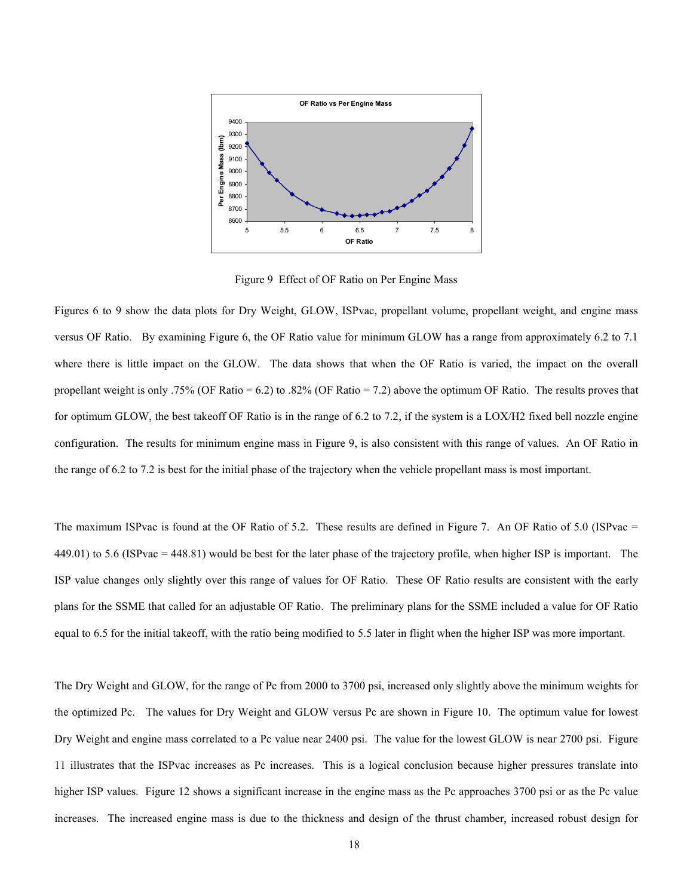

Figure 9 Effect of OF Ratio on Per Engine Mass

Figures 6 to 9 show the data plots for Dry Weight, GLOW, ISPvac, propellant volume, propellant weight, and engine mass versus OF Ratio. By examining Figure 6, the OF Ratio value for minimum GLOW has a range from approximately 6.2 to 7.1 where there is little impact on the GLOW. The data shows that when the OF Ratio is varied, the impact on the overall propellant weight is only .75% (OF Ratio = 6.2) to .82% (OF Ratio = 7.2) above the optimum OF Ratio. The results proves that for optimum GLOW, the best takeoff OF Ratio is in the range of 6.2 to 7.2, if the system is a LOX/H2 fixed bell nozzle engine configuration. The results for minimum engine mass in Figure 9, is also consistent with this range of values. An OF Ratio in the range of 6.2 to 7.2 is best for the initial phase of the trajectory when the vehicle propellant mass is most important.

The maximum ISPvac is found at the OF Ratio of 5.2. These results are defined in Figure 7. An OF Ratio of 5.0 (ISPvac = 449.01) to 5.6 (ISPvac = 448.81) would be best for the later phase of the trajectory profile, when higher ISP is important. The ISP value changes only slightly over this range of values for OF Ratio. These OF Ratio results are consistent with the early plans for the SSME that called for an adjustable OF Ratio. The preliminary plans for the SSME included a value for OF Ratio equal to 6.5 for the initial takeoff, with the ratio being modified to 5.5 later in flight when the higher ISP was more important.

The Dry Weight and GLOW, for the range of Pc from 2000 to 3700 psi, increased only slightly above the minimum weights for the optimized Pc. The values for Dry Weight and GLOW versus Pc are shown in Figure 10. The optimum value for lowest Dry Weight and engine mass correlated to a Pc value near 2400 psi. The value for the lowest GLOW is near 2700 psi. Figure 11 illustrates that the ISPvac increases as Pc increases. This is a logical conclusion because higher pressures translate into higher ISP values. Figure 12 shows a significant increase in the engine mass as the Pc approaches 3700 psi or as the Pc value increases. The increased engine mass is due to the thickness and design of the thrust chamber, increased robust design for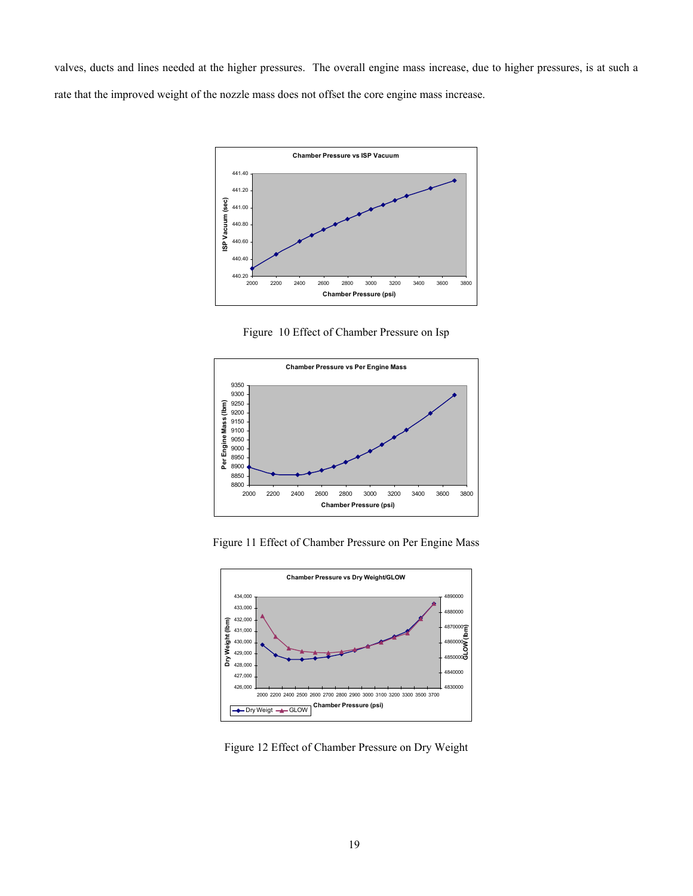valves, ducts and lines needed at the higher pressures. The overall engine mass increase, due to higher pressures, is at such a rate that the improved weight of the nozzle mass does not offset the core engine mass increase.



Figure 10 Effect of Chamber Pressure on Isp



Figure 11 Effect of Chamber Pressure on Per Engine Mass



Figure 12 Effect of Chamber Pressure on Dry Weight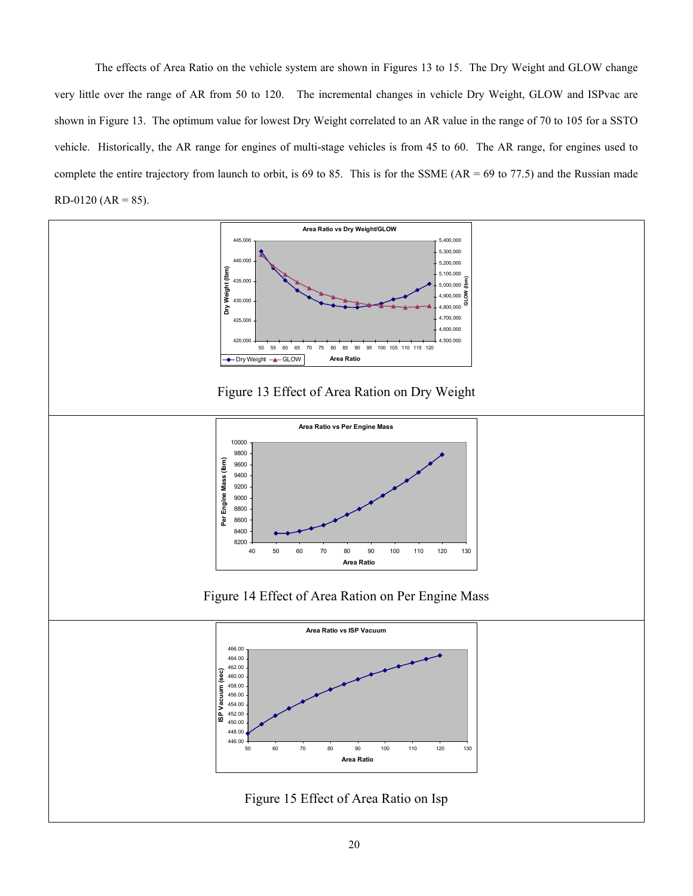The effects of Area Ratio on the vehicle system are shown in Figures 13 to 15. The Dry Weight and GLOW change very little over the range of AR from 50 to 120. The incremental changes in vehicle Dry Weight, GLOW and ISPvac are shown in Figure 13. The optimum value for lowest Dry Weight correlated to an AR value in the range of 70 to 105 for a SSTO vehicle. Historically, the AR range for engines of multi-stage vehicles is from 45 to 60. The AR range, for engines used to complete the entire trajectory from launch to orbit, is 69 to 85. This is for the SSME ( $AR = 69$  to 77.5) and the Russian made RD-0120 (AR = 85).

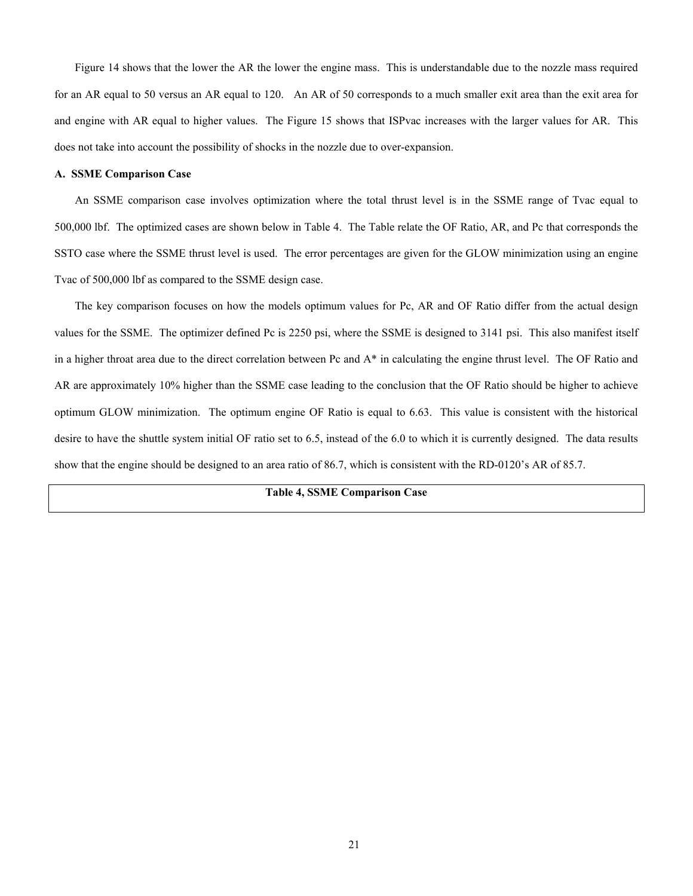Figure 14 shows that the lower the AR the lower the engine mass. This is understandable due to the nozzle mass required for an AR equal to 50 versus an AR equal to 120. An AR of 50 corresponds to a much smaller exit area than the exit area for and engine with AR equal to higher values. The Figure 15 shows that ISPvac increases with the larger values for AR. This does not take into account the possibility of shocks in the nozzle due to over-expansion.

## **A. SSME Comparison Case**

An SSME comparison case involves optimization where the total thrust level is in the SSME range of Tvac equal to 500,000 lbf. The optimized cases are shown below in Table 4. The Table relate the OF Ratio, AR, and Pc that corresponds the SSTO case where the SSME thrust level is used. The error percentages are given for the GLOW minimization using an engine Tvac of 500,000 lbf as compared to the SSME design case.

The key comparison focuses on how the models optimum values for Pc, AR and OF Ratio differ from the actual design values for the SSME. The optimizer defined Pc is 2250 psi, where the SSME is designed to 3141 psi. This also manifest itself in a higher throat area due to the direct correlation between Pc and A\* in calculating the engine thrust level. The OF Ratio and AR are approximately 10% higher than the SSME case leading to the conclusion that the OF Ratio should be higher to achieve optimum GLOW minimization. The optimum engine OF Ratio is equal to 6.63. This value is consistent with the historical desire to have the shuttle system initial OF ratio set to 6.5, instead of the 6.0 to which it is currently designed. The data results show that the engine should be designed to an area ratio of 86.7, which is consistent with the RD-0120's AR of 85.7.

#### **Table 4, SSME Comparison Case**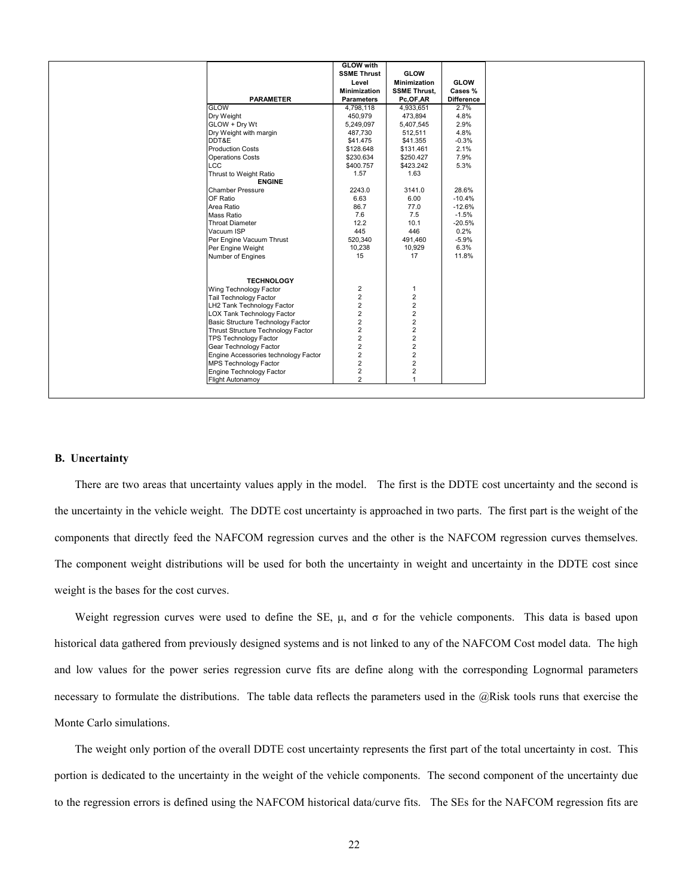|                                      | <b>GLOW with</b>                      |                         |                   |
|--------------------------------------|---------------------------------------|-------------------------|-------------------|
|                                      | <b>SSME Thrust</b>                    | <b>GLOW</b>             |                   |
|                                      | Level                                 | <b>Minimization</b>     | <b>GLOW</b>       |
|                                      | <b>Minimization</b>                   | <b>SSME Thrust,</b>     | Cases %           |
| <b>PARAMETER</b>                     | <b>Parameters</b>                     | Pc,OF,AR                | <b>Difference</b> |
| <b>GLOW</b>                          | 4,798,118                             | 4,933,651               | 2.7%              |
| Dry Weight                           | 450,979                               | 473,894                 | 4.8%              |
| GLOW + Dry Wt                        | 5,249,097                             | 5,407,545               | 2.9%              |
| Dry Weight with margin               | 487,730                               | 512,511                 | 4.8%              |
| DDT&E                                | \$41.475                              | \$41.355                | $-0.3%$           |
| <b>Production Costs</b>              | \$128.648                             | \$131.461               | 2.1%              |
| <b>Operations Costs</b>              | \$230.634                             | \$250.427               | 7.9%              |
| <b>LCC</b>                           | \$400.757                             | \$423.242               | 5.3%              |
| Thrust to Weight Ratio               | 1.57                                  | 1.63                    |                   |
| <b>ENGINE</b>                        |                                       |                         |                   |
| <b>Chamber Pressure</b>              | 2243.0                                | 3141.0                  | 28.6%             |
| OF Ratio                             | 6.63                                  | 6.00                    | $-10.4%$          |
| Area Ratio                           | 86.7                                  | 77.0                    | $-12.6%$          |
| Mass Ratio                           | 7.6                                   | 7.5                     | $-1.5%$           |
| <b>Throat Diameter</b>               | 12.2                                  | 10.1                    | $-20.5%$          |
| Vacuum ISP                           | 445                                   | 446                     | 0.2%              |
| Per Engine Vacuum Thrust             | 520,340                               | 491,460                 | $-5.9%$           |
| Per Engine Weight                    | 10,238                                | 10,929                  | 6.3%              |
| Number of Engines                    | 15                                    | 17                      | 11.8%             |
|                                      |                                       |                         |                   |
| <b>TECHNOLOGY</b>                    |                                       |                         |                   |
| Wing Technology Factor               | $\overline{\mathbf{c}}$               | $\mathbf{1}$            |                   |
| Tail Technology Factor               | $\begin{array}{c} 2 \\ 2 \end{array}$ | $\mathbf 2$             |                   |
| LH2 Tank Technology Factor           |                                       | $\overline{c}$          |                   |
| LOX Tank Technology Factor           | $\overline{2}$                        | $\overline{c}$          |                   |
| Basic Structure Technology Factor    | $\mathbf 2$                           | $\overline{c}$          |                   |
| Thrust Structure Technology Factor   | $\mathbf 2$                           | $\overline{2}$          |                   |
| <b>TPS Technology Factor</b>         | $\mathbf 2$                           | $\overline{\mathbf{c}}$ |                   |
| Gear Technology Factor               | $\overline{2}$                        | $\overline{c}$          |                   |
| Engine Accessories technology Factor | $\overline{2}$                        | $\overline{2}$          |                   |
| MPS Technology Factor                | $\overline{2}$                        | $\overline{c}$          |                   |
| Engine Technology Factor             | $\mathbf 2$                           | $\overline{\mathbf{c}}$ |                   |
| <b>Flight Autonamov</b>              | $\overline{2}$                        | 1                       |                   |

## **B. Uncertainty**

There are two areas that uncertainty values apply in the model. The first is the DDTE cost uncertainty and the second is the uncertainty in the vehicle weight. The DDTE cost uncertainty is approached in two parts. The first part is the weight of the components that directly feed the NAFCOM regression curves and the other is the NAFCOM regression curves themselves. The component weight distributions will be used for both the uncertainty in weight and uncertainty in the DDTE cost since weight is the bases for the cost curves.

Weight regression curves were used to define the SE,  $\mu$ , and  $\sigma$  for the vehicle components. This data is based upon historical data gathered from previously designed systems and is not linked to any of the NAFCOM Cost model data. The high and low values for the power series regression curve fits are define along with the corresponding Lognormal parameters necessary to formulate the distributions. The table data reflects the parameters used in the @Risk tools runs that exercise the Monte Carlo simulations.

The weight only portion of the overall DDTE cost uncertainty represents the first part of the total uncertainty in cost. This portion is dedicated to the uncertainty in the weight of the vehicle components. The second component of the uncertainty due to the regression errors is defined using the NAFCOM historical data/curve fits. The SEs for the NAFCOM regression fits are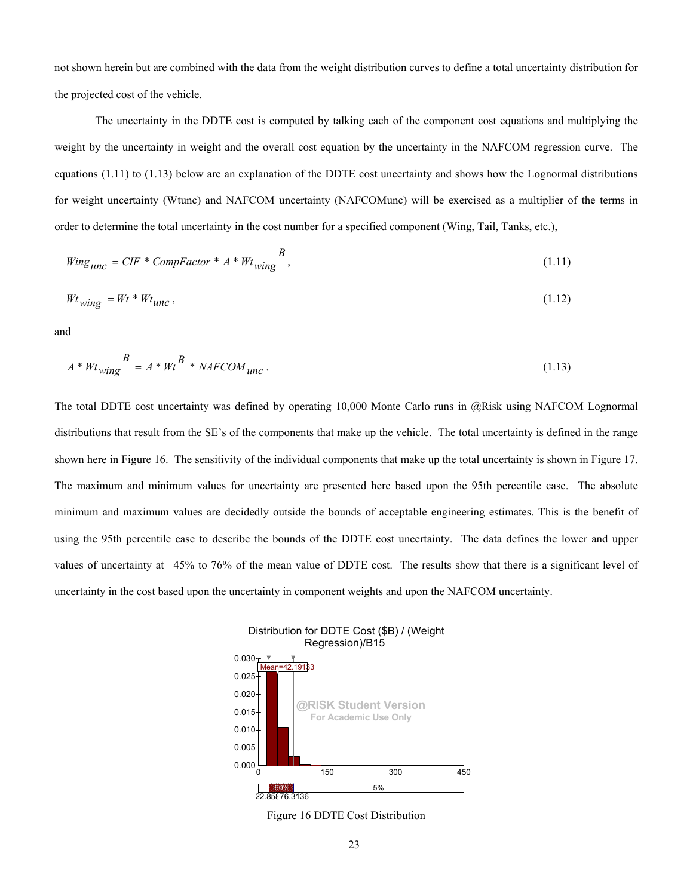not shown herein but are combined with the data from the weight distribution curves to define a total uncertainty distribution for the projected cost of the vehicle.

The uncertainty in the DDTE cost is computed by talking each of the component cost equations and multiplying the weight by the uncertainty in weight and the overall cost equation by the uncertainty in the NAFCOM regression curve. The equations (1.11) to (1.13) below are an explanation of the DDTE cost uncertainty and shows how the Lognormal distributions for weight uncertainty (Wtunc) and NAFCOM uncertainty (NAFCOMunc) will be exercised as a multiplier of the terms in order to determine the total uncertainty in the cost number for a specified component (Wing, Tail, Tanks, etc.),

$$
Wing_{unc} = CIF * CompFactor * A * Wt_{wing} \tag{1.11}
$$

$$
Wt_{wing} = Wt * Wt_{unc}, \qquad (1.12)
$$

and

$$
A * Wt_{wing}^B = A * Wt^B * NAFCOM_{unc} .
$$
\n(1.13)

The total DDTE cost uncertainty was defined by operating 10,000 Monte Carlo runs in @Risk using NAFCOM Lognormal distributions that result from the SE's of the components that make up the vehicle. The total uncertainty is defined in the range shown here in Figure 16. The sensitivity of the individual components that make up the total uncertainty is shown in Figure 17. The maximum and minimum values for uncertainty are presented here based upon the 95th percentile case. The absolute minimum and maximum values are decidedly outside the bounds of acceptable engineering estimates. This is the benefit of using the 95th percentile case to describe the bounds of the DDTE cost uncertainty. The data defines the lower and upper values of uncertainty at –45% to 76% of the mean value of DDTE cost. The results show that there is a significant level of uncertainty in the cost based upon the uncertainty in component weights and upon the NAFCOM uncertainty.



 Distribution for DDTE Cost (\$B) / (Weight Regression)/B15

Figure 16 DDTE Cost Distribution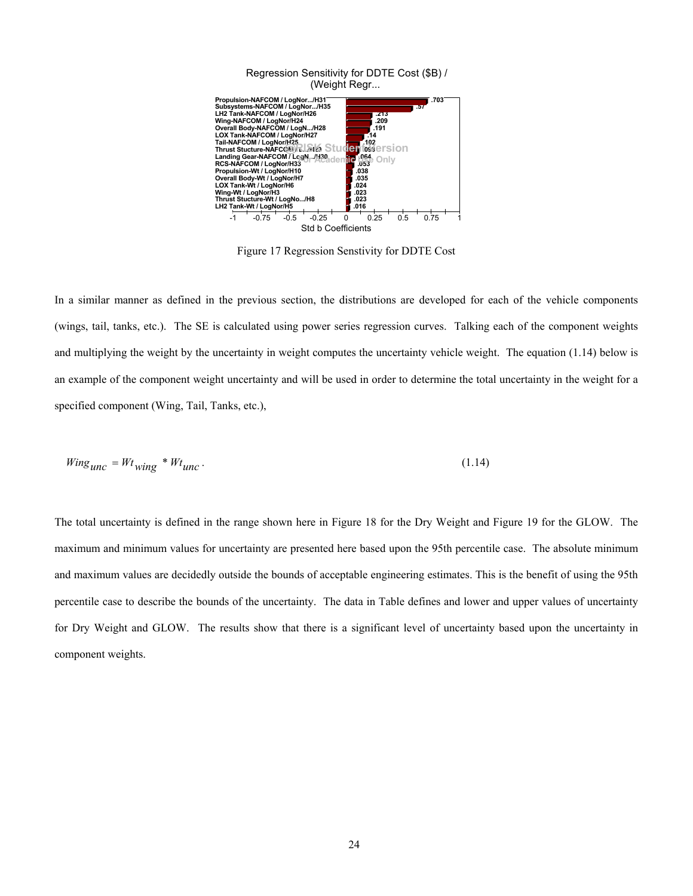

Figure 17 Regression Senstivity for DDTE Cost

In a similar manner as defined in the previous section, the distributions are developed for each of the vehicle components (wings, tail, tanks, etc.). The SE is calculated using power series regression curves. Talking each of the component weights and multiplying the weight by the uncertainty in weight computes the uncertainty vehicle weight. The equation (1.14) below is an example of the component weight uncertainty and will be used in order to determine the total uncertainty in the weight for a specified component (Wing, Tail, Tanks, etc.),

$$
Wing_{unc} = Wt_{wing} * Wt_{unc}.
$$
\n(1.14)

The total uncertainty is defined in the range shown here in Figure 18 for the Dry Weight and Figure 19 for the GLOW. The maximum and minimum values for uncertainty are presented here based upon the 95th percentile case. The absolute minimum and maximum values are decidedly outside the bounds of acceptable engineering estimates. This is the benefit of using the 95th percentile case to describe the bounds of the uncertainty. The data in Table defines and lower and upper values of uncertainty for Dry Weight and GLOW. The results show that there is a significant level of uncertainty based upon the uncertainty in component weights.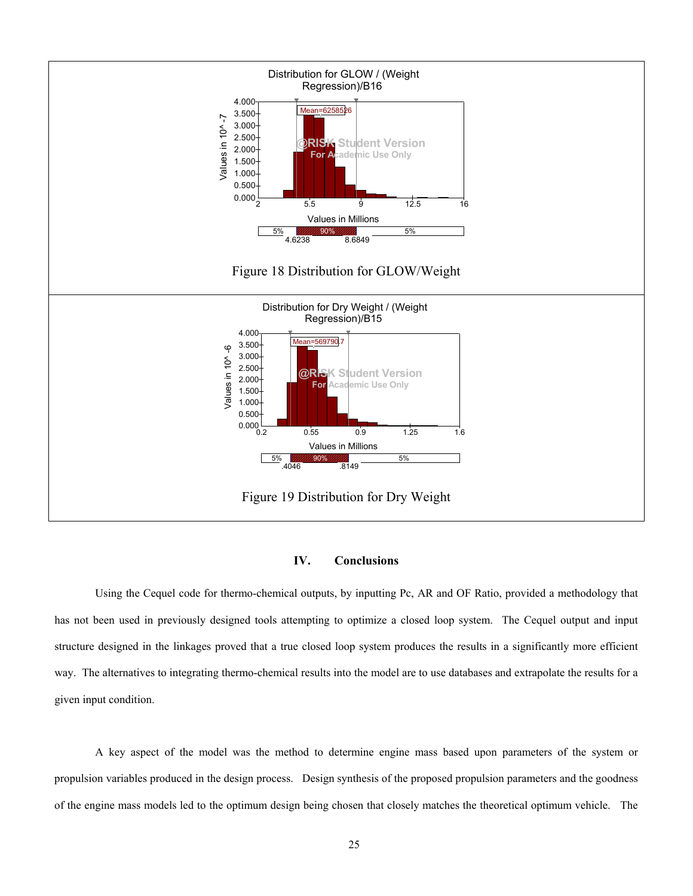

# **IV. Conclusions**

Using the Cequel code for thermo-chemical outputs, by inputting Pc, AR and OF Ratio, provided a methodology that has not been used in previously designed tools attempting to optimize a closed loop system. The Cequel output and input structure designed in the linkages proved that a true closed loop system produces the results in a significantly more efficient way. The alternatives to integrating thermo-chemical results into the model are to use databases and extrapolate the results for a given input condition.

A key aspect of the model was the method to determine engine mass based upon parameters of the system or propulsion variables produced in the design process. Design synthesis of the proposed propulsion parameters and the goodness of the engine mass models led to the optimum design being chosen that closely matches the theoretical optimum vehicle. The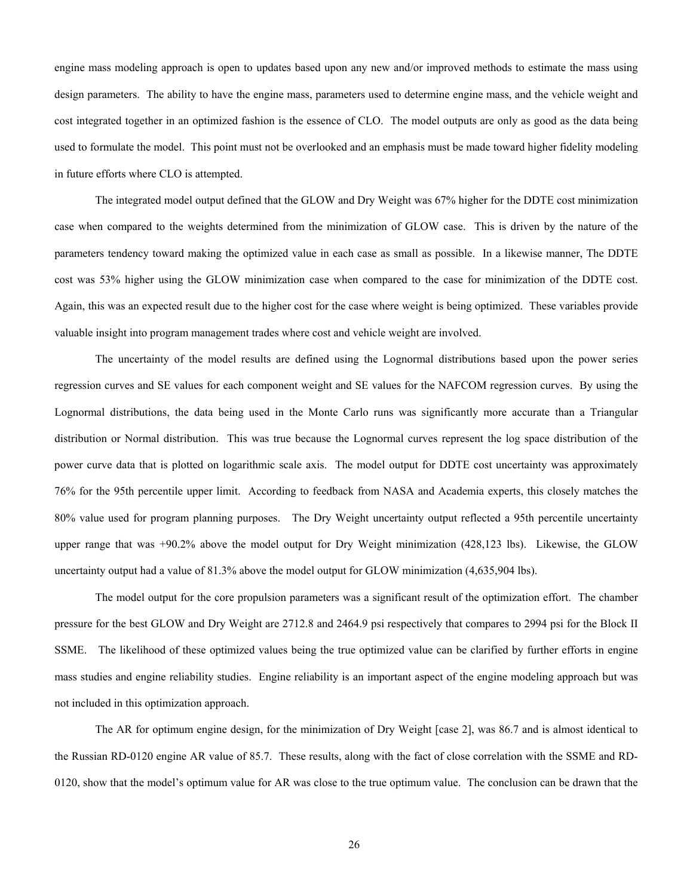engine mass modeling approach is open to updates based upon any new and/or improved methods to estimate the mass using design parameters. The ability to have the engine mass, parameters used to determine engine mass, and the vehicle weight and cost integrated together in an optimized fashion is the essence of CLO. The model outputs are only as good as the data being used to formulate the model. This point must not be overlooked and an emphasis must be made toward higher fidelity modeling in future efforts where CLO is attempted.

The integrated model output defined that the GLOW and Dry Weight was 67% higher for the DDTE cost minimization case when compared to the weights determined from the minimization of GLOW case. This is driven by the nature of the parameters tendency toward making the optimized value in each case as small as possible. In a likewise manner, The DDTE cost was 53% higher using the GLOW minimization case when compared to the case for minimization of the DDTE cost. Again, this was an expected result due to the higher cost for the case where weight is being optimized. These variables provide valuable insight into program management trades where cost and vehicle weight are involved.

The uncertainty of the model results are defined using the Lognormal distributions based upon the power series regression curves and SE values for each component weight and SE values for the NAFCOM regression curves. By using the Lognormal distributions, the data being used in the Monte Carlo runs was significantly more accurate than a Triangular distribution or Normal distribution. This was true because the Lognormal curves represent the log space distribution of the power curve data that is plotted on logarithmic scale axis. The model output for DDTE cost uncertainty was approximately 76% for the 95th percentile upper limit. According to feedback from NASA and Academia experts, this closely matches the 80% value used for program planning purposes. The Dry Weight uncertainty output reflected a 95th percentile uncertainty upper range that was +90.2% above the model output for Dry Weight minimization (428,123 lbs). Likewise, the GLOW uncertainty output had a value of 81.3% above the model output for GLOW minimization (4,635,904 lbs).

The model output for the core propulsion parameters was a significant result of the optimization effort. The chamber pressure for the best GLOW and Dry Weight are 2712.8 and 2464.9 psi respectively that compares to 2994 psi for the Block II SSME. The likelihood of these optimized values being the true optimized value can be clarified by further efforts in engine mass studies and engine reliability studies. Engine reliability is an important aspect of the engine modeling approach but was not included in this optimization approach.

The AR for optimum engine design, for the minimization of Dry Weight [case 2], was 86.7 and is almost identical to the Russian RD-0120 engine AR value of 85.7. These results, along with the fact of close correlation with the SSME and RD-0120, show that the model's optimum value for AR was close to the true optimum value. The conclusion can be drawn that the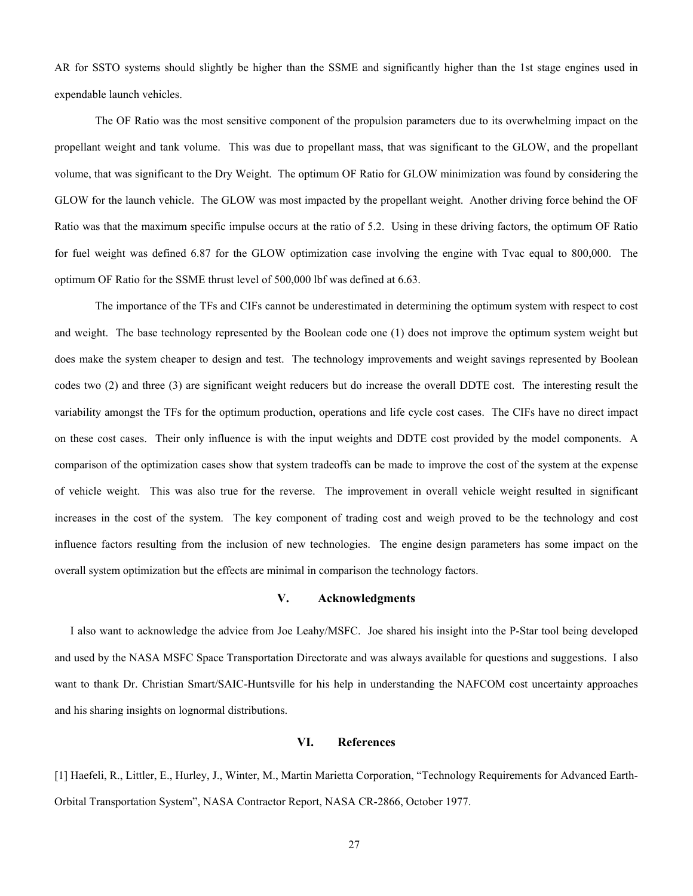AR for SSTO systems should slightly be higher than the SSME and significantly higher than the 1st stage engines used in expendable launch vehicles.

The OF Ratio was the most sensitive component of the propulsion parameters due to its overwhelming impact on the propellant weight and tank volume. This was due to propellant mass, that was significant to the GLOW, and the propellant volume, that was significant to the Dry Weight. The optimum OF Ratio for GLOW minimization was found by considering the GLOW for the launch vehicle. The GLOW was most impacted by the propellant weight. Another driving force behind the OF Ratio was that the maximum specific impulse occurs at the ratio of 5.2. Using in these driving factors, the optimum OF Ratio for fuel weight was defined 6.87 for the GLOW optimization case involving the engine with Tvac equal to 800,000. The optimum OF Ratio for the SSME thrust level of 500,000 lbf was defined at 6.63.

The importance of the TFs and CIFs cannot be underestimated in determining the optimum system with respect to cost and weight. The base technology represented by the Boolean code one (1) does not improve the optimum system weight but does make the system cheaper to design and test. The technology improvements and weight savings represented by Boolean codes two (2) and three (3) are significant weight reducers but do increase the overall DDTE cost. The interesting result the variability amongst the TFs for the optimum production, operations and life cycle cost cases. The CIFs have no direct impact on these cost cases. Their only influence is with the input weights and DDTE cost provided by the model components. A comparison of the optimization cases show that system tradeoffs can be made to improve the cost of the system at the expense of vehicle weight. This was also true for the reverse. The improvement in overall vehicle weight resulted in significant increases in the cost of the system. The key component of trading cost and weigh proved to be the technology and cost influence factors resulting from the inclusion of new technologies. The engine design parameters has some impact on the overall system optimization but the effects are minimal in comparison the technology factors.

# **V. Acknowledgments**

I also want to acknowledge the advice from Joe Leahy/MSFC. Joe shared his insight into the P-Star tool being developed and used by the NASA MSFC Space Transportation Directorate and was always available for questions and suggestions. I also want to thank Dr. Christian Smart/SAIC-Huntsville for his help in understanding the NAFCOM cost uncertainty approaches and his sharing insights on lognormal distributions.

## **VI. References**

[1] Haefeli, R., Littler, E., Hurley, J., Winter, M., Martin Marietta Corporation, "Technology Requirements for Advanced Earth-Orbital Transportation System", NASA Contractor Report, NASA CR-2866, October 1977.